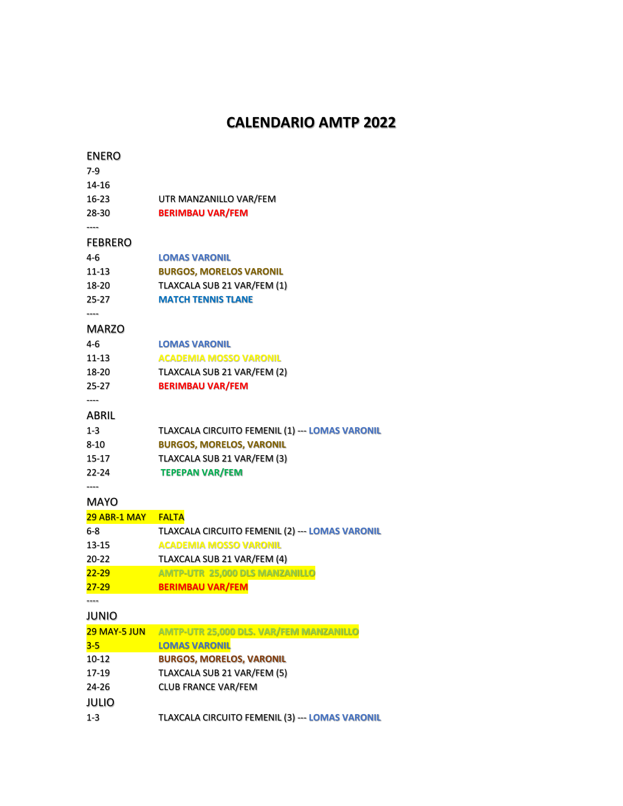## **CALENDARIO AMTP 2022**

| <b>ENERO</b>   |                                                 |
|----------------|-------------------------------------------------|
| $7-9$          |                                                 |
| 14-16          |                                                 |
| 16-23          | UTR MANZANILLO VAR/FEM                          |
| 28-30          | <b>BERIMBAU VAR/FEM</b>                         |
| <b>FEBRERO</b> |                                                 |
| 4-6            | <b>LOMAS VARONIL</b>                            |
| $11 - 13$      | <b>BURGOS, MORELOS VARONIL</b>                  |
| 18-20          | TLAXCALA SUB 21 VAR/FEM (1)                     |
| 25-27          | <b>MATCH TENNIS TLANE</b>                       |
| <b>MARZO</b>   |                                                 |
| 4-6            | <b>LOMAS VARONIL</b>                            |
| 11-13          | <b>ACADEMIA MOSSO VARONIL</b>                   |
| 18-20          | TLAXCALA SUB 21 VAR/FEM (2)                     |
| 25-27          | <b>BERIMBAU VAR/FEM</b>                         |
| ----<br>ABRIL  |                                                 |
| 1-3            | TLAXCALA CIRCUITO FEMENIL (1) --- LOMAS VARONIL |
| 8-10           | <b>BURGOS, MORELOS, VARONIL</b>                 |
| 15-17          | TLAXCALA SUB 21 VAR/FEM (3)                     |
| 22-24          | <b>TEPEPAN VAR/FEM</b>                          |
| ----           |                                                 |
| MAYO           |                                                 |
| 29 ABR-1 MAY   | <b>FALTA</b>                                    |
| $6-8$          | TLAXCALA CIRCUITO FEMENIL (2) --- LOMAS VARONIL |
| 13-15          | <b>ACADEMIA MOSSO VARONIL</b>                   |
| 20-22          | TLAXCALA SUB 21 VAR/FEM (4)                     |
| $22 - 29$      | <b>AMTP-UTR 25,000 DLS MANZANILLO</b>           |
| $27 - 29$      | <b>BERIMBAU VAR/FEM</b>                         |
|                |                                                 |
| <b>JUNIO</b>   |                                                 |
| 29 MAY-5 JUN   | AMTP-UTR 25,000 DLS. VAR/FEM MANZANILLO         |
| $3 - 5$        | <b>LOMAS VARONIL</b>                            |
| 10-12          | <b>BURGOS, MORELOS, VARONIL</b>                 |
| 17-19          | TLAXCALA SUB 21 VAR/FEM (5)                     |
| 24-26          | <b>CLUB FRANCE VAR/FEM</b>                      |
| <b>JULIO</b>   |                                                 |
| $1 - 3$        | TLAXCALA CIRCUITO FEMENIL (3) --- LOMAS VARONIL |